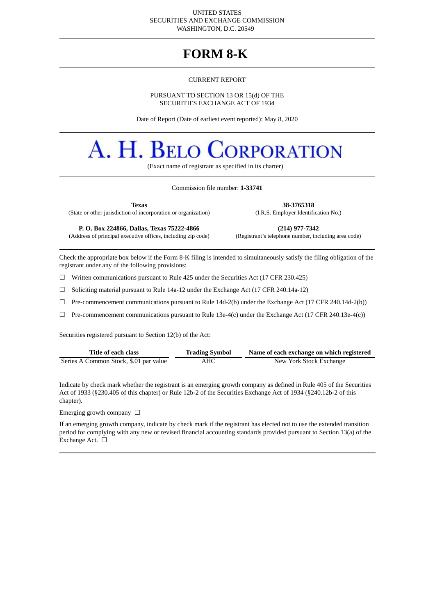#### UNITED STATES SECURITIES AND EXCHANGE COMMISSION WASHINGTON, D.C. 20549

# **FORM 8-K**

#### CURRENT REPORT

## PURSUANT TO SECTION 13 OR 15(d) OF THE SECURITIES EXCHANGE ACT OF 1934

Date of Report (Date of earliest event reported): May 8, 2020

# A. H. BELO **DRPORATION**

(Exact name of registrant as specified in its charter)

## Commission file number: **1-33741**

**Texas 38-3765318**

(State or other jurisdiction of incorporation or organization) (I.R.S. Employer Identification No.)

(Address of principal executive offices, including zip code)

**P. O. Box 224866, Dallas, Texas 75222-4866 (214) 977-7342**

Check the appropriate box below if the Form 8-K filing is intended to simultaneously satisfy the filing obligation of the registrant under any of the following provisions:

☐ Written communications pursuant to Rule 425 under the Securities Act (17 CFR 230.425)

 $\Box$  Soliciting material pursuant to Rule 14a-12 under the Exchange Act (17 CFR 240.14a-12)

☐ Pre-commencement communications pursuant to Rule 14d-2(b) under the Exchange Act (17 CFR 240.14d-2(b))

 $\Box$  Pre-commencement communications pursuant to Rule 13e-4(c) under the Exchange Act (17 CFR 240.13e-4(c))

Securities registered pursuant to Section 12(b) of the Act:

| Title of each class                    | <b>Trading Symbol</b> | Name of each exchange on which registered |  |  |  |  |
|----------------------------------------|-----------------------|-------------------------------------------|--|--|--|--|
| Series A Common Stock, \$.01 par value | AHC                   | New York Stock Exchange                   |  |  |  |  |

Indicate by check mark whether the registrant is an emerging growth company as defined in Rule 405 of the Securities Act of 1933 (§230.405 of this chapter) or Rule 12b-2 of the Securities Exchange Act of 1934 (§240.12b-2 of this chapter).

Emerging growth company  $\Box$ 

If an emerging growth company, indicate by check mark if the registrant has elected not to use the extended transition period for complying with any new or revised financial accounting standards provided pursuant to Section 13(a) of the Exchange Act. □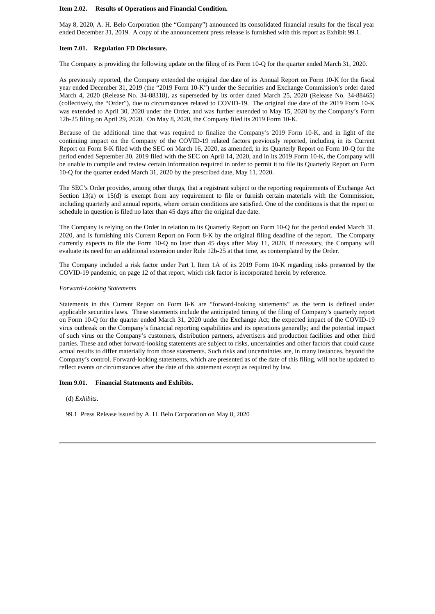#### **Item 2.02. Results of Operations and Financial Condition.**

May 8, 2020, A. H. Belo Corporation (the "Company") announced its consolidated financial results for the fiscal year ended December 31, 2019. A copy of the announcement press release is furnished with this report as Exhibit 99.1.

#### **Item 7.01. Regulation FD Disclosure.**

The Company is providing the following update on the filing of its Form 10-Q for the quarter ended March 31, 2020.

As previously reported, the Company extended the original due date of its Annual Report on Form 10-K for the fiscal year ended December 31, 2019 (the "2019 Form 10-K") under the Securities and Exchange Commission's order dated March 4, 2020 (Release No. 34-88318), as superseded by its order dated March 25, 2020 (Release No. 34-88465) (collectively, the "Order"), due to circumstances related to COVID-19. The original due date of the 2019 Form 10-K was extended to April 30, 2020 under the Order, and was further extended to May 15, 2020 by the Company's Form 12b-25 filing on April 29, 2020. On May 8, 2020, the Company filed its 2019 Form 10-K.

Because of the additional time that was required to finalize the Company's 2019 Form 10-K, and in light of the continuing impact on the Company of the COVID-19 related factors previously reported, including in its Current Report on Form 8-K filed with the SEC on March 16, 2020, as amended, in its Quarterly Report on Form 10-Q for the period ended September 30, 2019 filed with the SEC on April 14, 2020, and in its 2019 Form 10-K, the Company will be unable to compile and review certain information required in order to permit it to file its Quarterly Report on Form 10-Q for the quarter ended March 31, 2020 by the prescribed date, May 11, 2020.

The SEC's Order provides, among other things, that a registrant subject to the reporting requirements of Exchange Act Section 13(a) or 15(d) is exempt from any requirement to file or furnish certain materials with the Commission, including quarterly and annual reports, where certain conditions are satisfied. One of the conditions is that the report or schedule in question is filed no later than 45 days after the original due date.

The Company is relying on the Order in relation to its Quarterly Report on Form 10-Q for the period ended March 31, 2020, and is furnishing this Current Report on Form 8-K by the original filing deadline of the report. The Company currently expects to file the Form 10-Q no later than 45 days after May 11, 2020. If necessary, the Company will evaluate its need for an additional extension under Rule 12b-25 at that time, as contemplated by the Order.

The Company included a risk factor under Part I, Item 1A of its 2019 Form 10-K regarding risks presented by the COVID-19 pandemic, on page 12 of that report, which risk factor is incorporated herein by reference.

#### *Forward-Looking Statements*

Statements in this Current Report on Form 8-K are "forward-looking statements" as the term is defined under applicable securities laws. These statements include the anticipated timing of the filing of Company's quarterly report on Form 10-Q for the quarter ended March 31, 2020 under the Exchange Act; the expected impact of the COVID-19 virus outbreak on the Company's financial reporting capabilities and its operations generally; and the potential impact of such virus on the Company's customers, distribution partners, advertisers and production facilities and other third parties. These and other forward-looking statements are subject to risks, uncertainties and other factors that could cause actual results to differ materially from those statements. Such risks and uncertainties are, in many instances, beyond the Company's control. Forward-looking statements, which are presented as of the date of this filing, will not be updated to reflect events or circumstances after the date of this statement except as required by law.

#### **Item 9.01. Financial Statements and Exhibits.**

(d) *Exhibits*.

99.1 Press Release issued by A. H. Belo Corporation on May 8, 2020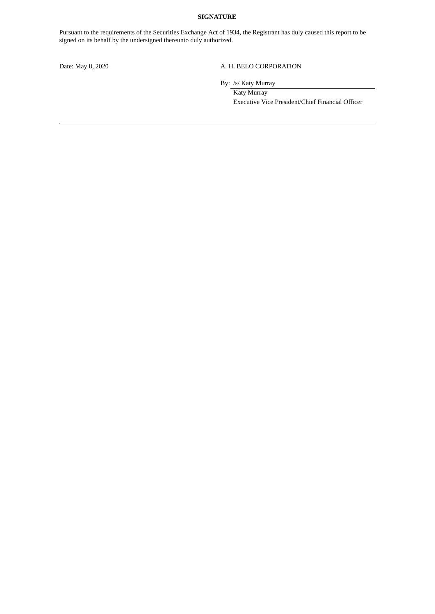# **SIGNATURE**

Pursuant to the requirements of the Securities Exchange Act of 1934, the Registrant has duly caused this report to be signed on its behalf by the undersigned thereunto duly authorized.

# Date: May 8, 2020 A. H. BELO CORPORATION

By: /s/ Katy Murray

Katy Murray Executive Vice President/Chief Financial Officer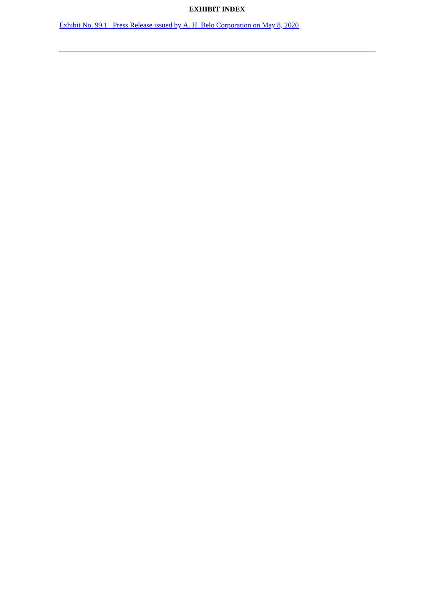# **EXHIBIT INDEX**

Exhibit No. 99.1 Press Release issued by A. H. Belo [Corporation](#page-4-0) on May 8, 2020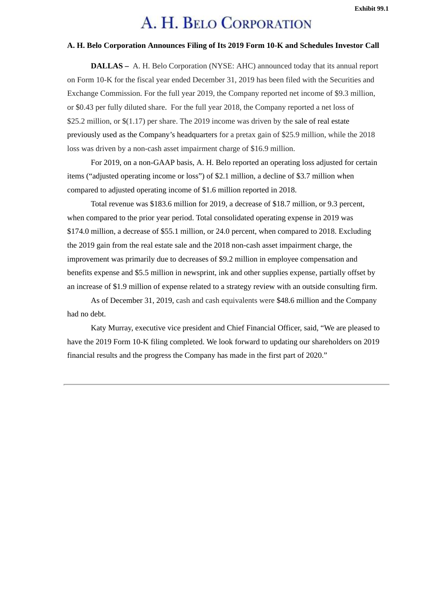# A. H. BELO CORPORATION

# <span id="page-4-0"></span>**A. H. Belo Corporation Announces Filing of Its 2019 Form 10-K and Schedules Investor Call**

**DALLAS –** A. H. Belo Corporation (NYSE: AHC) announced today that its annual report on Form 10-K for the fiscal year ended December 31, 2019 has been filed with the Securities and Exchange Commission. For the full year 2019, the Company reported net income of \$9.3 million, or \$0.43 per fully diluted share. For the full year 2018, the Company reported a net loss of \$25.2 million, or \$(1.17) per share. The 2019 income was driven by the sale of real estate previously used as the Company's headquarters for a pretax gain of \$25.9 million, while the 2018 loss was driven by a non-cash asset impairment charge of \$16.9 million.

For 2019, on a non-GAAP basis, A. H. Belo reported an operating loss adjusted for certain items ("adjusted operating income or loss") of \$2.1 million, a decline of \$3.7 million when compared to adjusted operating income of \$1.6 million reported in 2018.

Total revenue was \$183.6 million for 2019, a decrease of \$18.7 million, or 9.3 percent, when compared to the prior year period. Total consolidated operating expense in 2019 was \$174.0 million, a decrease of \$55.1 million, or 24.0 percent, when compared to 2018. Excluding the 2019 gain from the real estate sale and the 2018 non-cash asset impairment charge, the improvement was primarily due to decreases of \$9.2 million in employee compensation and benefits expense and \$5.5 million in newsprint, ink and other supplies expense, partially offset by an increase of \$1.9 million of expense related to a strategy review with an outside consulting firm.

As of December 31, 2019, cash and cash equivalents were \$48.6 million and the Company had no debt.

Katy Murray, executive vice president and Chief Financial Officer, said, "We are pleased to have the 2019 Form 10-K filing completed. We look forward to updating our shareholders on 2019 financial results and the progress the Company has made in the first part of 2020."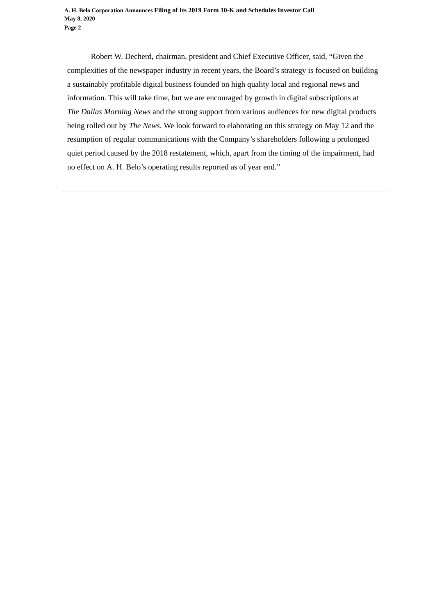Robert W. Decherd, chairman, president and Chief Executive Officer, said, "Given the complexities of the newspaper industry in recent years, the Board's strategy is focused on building a sustainably profitable digital business founded on high quality local and regional news and information. This will take time, but we are encouraged by growth in digital subscriptions at *The Dallas Morning News* and the strong support from various audiences for new digital products being rolled out by *The News*. We look forward to elaborating on this strategy on May 12 and the resumption of regular communications with the Company's shareholders following a prolonged quiet period caused by the 2018 restatement, which, apart from the timing of the impairment, had no effect on A. H. Belo's operating results reported as of year end."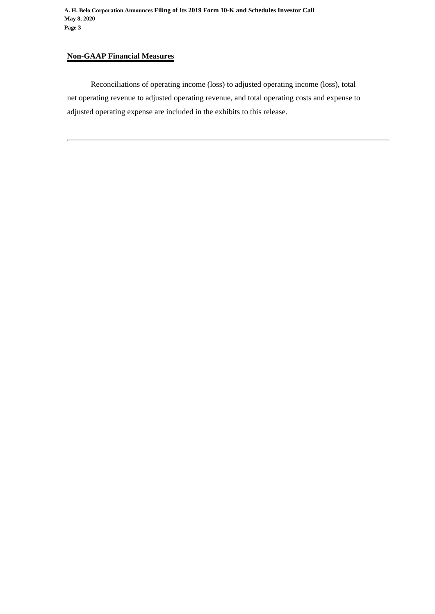# **Non-GAAP Financial Measures**

Reconciliations of operating income (loss) to adjusted operating income (loss), total net operating revenue to adjusted operating revenue, and total operating costs and expense to adjusted operating expense are included in the exhibits to this release.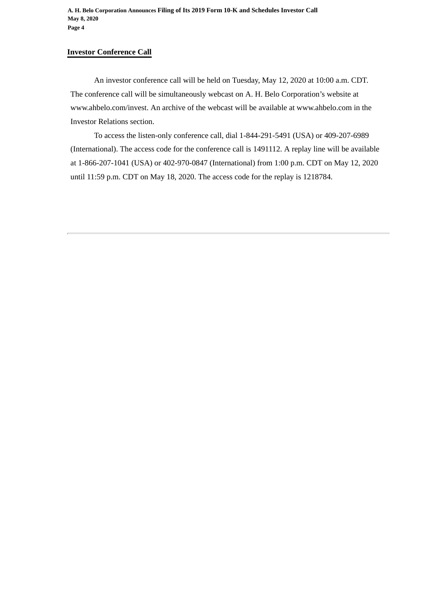**A. H. Belo Corporation Announces Filing of Its 2019 Form 10-K and Schedules Investor Call May 8, 2020 Page 4**

# **Investor Conference Call**

An investor conference call will be held on Tuesday, May 12, 2020 at 10:00 a.m. CDT. The conference call will be simultaneously webcast on A. H. Belo Corporation's website at www.ahbelo.com/invest. An archive of the webcast will be available at www.ahbelo.com in the Investor Relations section.

To access the listen-only conference call, dial 1-844-291-5491 (USA) or 409-207-6989 (International). The access code for the conference call is 1491112. A replay line will be available at 1-866-207-1041 (USA) or 402-970-0847 (International) from 1:00 p.m. CDT on May 12, 2020 until 11:59 p.m. CDT on May 18, 2020. The access code for the replay is 1218784.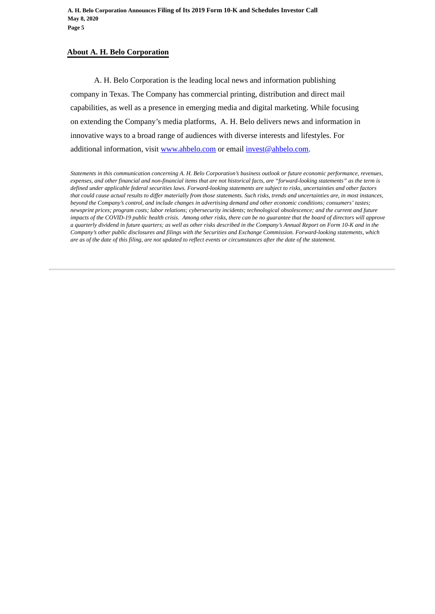# **About A. H. Belo Corporation**

A. H. Belo Corporation is the leading local news and information publishing company in Texas. The Company has commercial printing, distribution and direct mail capabilities, as well as a presence in emerging media and digital marketing. While focusing on extending the Company's media platforms, A. H. Belo delivers news and information in innovative ways to a broad range of audiences with diverse interests and lifestyles. For additional information, visit www.ahbelo.com or email invest@ahbelo.com.

*Statements in this communication concerning A. H. Belo Corporation's business outlook or future economic performance, revenues, expenses, and other financial and non-financial items that are not historical facts, are "forward-looking statements" as the term is defined under applicable federal securities laws. Forward-looking statements are subject to risks, uncertainties and other factors that could cause actual results to differ materially from those statements. Such risks, trends and uncertainties are, in most instances, beyond the Company's control, and include changes in advertising demand and other economic conditions; consumers' tastes; newsprint prices; program costs; labor relations; cybersecurity incidents; technological obsolescence; and the current and future impacts of the COVID-19 public health crisis. Among other risks, there can be no guarantee that the board of directors will approve a quarterly dividend in future quarters; as well as other risks described in the Company's Annual Report on Form 10-K and in the Company's other public disclosures and filings with the Securities and Exchange Commission. Forward-looking statements, which are as of the date of this filing, are not updated to reflect events or circumstances after the date of the statement.*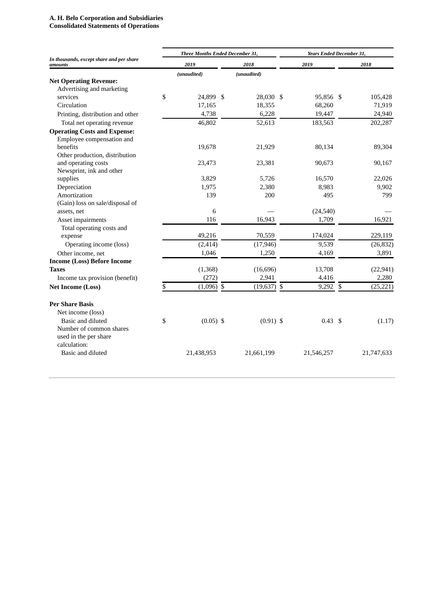# **A. H. Belo Corporation and Subsidiaries**

**Consolidated Statements of Operations**

|                                                     | Three Months Ended December 31, |              |  |               |  | Years Ended December 31, |    |            |  |  |
|-----------------------------------------------------|---------------------------------|--------------|--|---------------|--|--------------------------|----|------------|--|--|
| In thousands, except share and per share<br>amounts | 2019                            |              |  | 2018          |  | 2019                     |    | 2018       |  |  |
|                                                     |                                 | (unaudited)  |  | (unaudited)   |  |                          |    |            |  |  |
| <b>Net Operating Revenue:</b>                       |                                 |              |  |               |  |                          |    |            |  |  |
| Advertising and marketing                           |                                 |              |  |               |  |                          |    |            |  |  |
| services                                            | \$                              | 24,899 \$    |  | 28,030 \$     |  | 95,856 \$                |    | 105,428    |  |  |
| Circulation                                         |                                 | 17,165       |  | 18,355        |  | 68,260                   |    | 71,919     |  |  |
| Printing, distribution and other                    |                                 | 4,738        |  | 6,228         |  | 19,447                   |    | 24,940     |  |  |
| Total net operating revenue                         |                                 | 46,802       |  | 52,613        |  | 183,563                  |    | 202,287    |  |  |
| <b>Operating Costs and Expense:</b>                 |                                 |              |  |               |  |                          |    |            |  |  |
| Employee compensation and                           |                                 |              |  |               |  |                          |    |            |  |  |
| benefits                                            |                                 | 19,678       |  | 21,929        |  | 80,134                   |    | 89,304     |  |  |
| Other production, distribution                      |                                 |              |  |               |  |                          |    |            |  |  |
| and operating costs                                 |                                 | 23,473       |  | 23,381        |  | 90,673                   |    | 90,167     |  |  |
| Newsprint, ink and other                            |                                 |              |  |               |  |                          |    |            |  |  |
| supplies                                            |                                 | 3,829        |  | 5,726         |  | 16,570                   |    | 22,026     |  |  |
| Depreciation                                        |                                 | 1,975        |  | 2,380         |  | 8,983                    |    | 9,902      |  |  |
| Amortization                                        |                                 | 139          |  | 200           |  | 495                      |    | 799        |  |  |
| (Gain) loss on sale/disposal of                     |                                 |              |  |               |  |                          |    |            |  |  |
| assets, net                                         |                                 | 6            |  |               |  | (24, 540)                |    |            |  |  |
| Asset impairments                                   |                                 | 116          |  | 16,943        |  | 1,709                    |    | 16,921     |  |  |
| Total operating costs and                           |                                 |              |  |               |  |                          |    |            |  |  |
| expense                                             |                                 | 49,216       |  | 70,559        |  | 174,024                  |    | 229,119    |  |  |
| Operating income (loss)                             |                                 | (2, 414)     |  | (17, 946)     |  | 9,539                    |    | (26, 832)  |  |  |
| Other income, net                                   |                                 | 1,046        |  | 1,250         |  | 4,169                    |    | 3,891      |  |  |
| <b>Income (Loss) Before Income</b>                  |                                 |              |  |               |  |                          |    |            |  |  |
| <b>Taxes</b>                                        |                                 | (1,368)      |  | (16, 696)     |  | 13,708                   |    | (22, 941)  |  |  |
| Income tax provision (benefit)                      |                                 | (272)        |  | 2,941         |  | 4,416                    |    | 2,280      |  |  |
| <b>Net Income (Loss)</b>                            | \$                              | $(1,096)$ \$ |  | $(19,637)$ \$ |  | 9,292                    | \$ | (25, 221)  |  |  |
| <b>Per Share Basis</b>                              |                                 |              |  |               |  |                          |    |            |  |  |
| Net income (loss)                                   |                                 |              |  |               |  |                          |    |            |  |  |
| Basic and diluted                                   | \$                              | $(0.05)$ \$  |  | $(0.91)$ \$   |  | $0.43 \text{ } $5$       |    | (1.17)     |  |  |
| Number of common shares                             |                                 |              |  |               |  |                          |    |            |  |  |
| used in the per share                               |                                 |              |  |               |  |                          |    |            |  |  |
| calculation:                                        |                                 |              |  |               |  |                          |    |            |  |  |
| Basic and diluted                                   |                                 | 21,438,953   |  | 21,661,199    |  | 21,546,257               |    | 21,747,633 |  |  |
|                                                     |                                 |              |  |               |  |                          |    |            |  |  |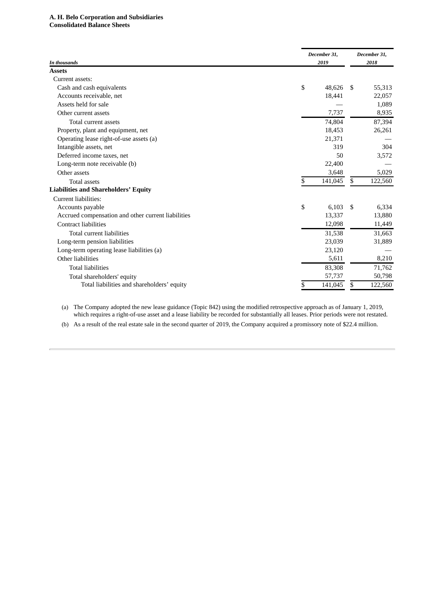# **A. H. Belo Corporation and Subsidiaries Consolidated Balance Sheets**

| In thousands                                       |    | December 31,<br>2019 |    | December 31,<br>2018 |  |
|----------------------------------------------------|----|----------------------|----|----------------------|--|
| <b>Assets</b>                                      |    |                      |    |                      |  |
| Current assets:                                    |    |                      |    |                      |  |
| Cash and cash equivalents                          | \$ | 48,626               | \$ | 55,313               |  |
| Accounts receivable, net                           |    | 18,441               |    | 22,057               |  |
| Assets held for sale                               |    |                      |    | 1,089                |  |
| Other current assets                               |    | 7,737                |    | 8,935                |  |
| Total current assets                               |    | 74,804               |    | 87,394               |  |
| Property, plant and equipment, net                 |    | 18,453               |    | 26,261               |  |
| Operating lease right-of-use assets (a)            |    | 21.371               |    |                      |  |
| Intangible assets, net                             |    | 319                  |    | 304                  |  |
| Deferred income taxes, net                         |    | 50                   |    | 3,572                |  |
| Long-term note receivable (b)                      |    | 22,400               |    |                      |  |
| Other assets                                       |    | 3,648                |    | 5,029                |  |
| <b>Total assets</b>                                | \$ | 141,045              | \$ | 122,560              |  |
| <b>Liabilities and Shareholders' Equity</b>        |    |                      |    |                      |  |
| Current liabilities:                               |    |                      |    |                      |  |
| Accounts payable                                   | \$ | 6,103                | \$ | 6,334                |  |
| Accrued compensation and other current liabilities |    | 13,337               |    | 13,880               |  |
| <b>Contract liabilities</b>                        |    | 12,098               |    | 11,449               |  |
| Total current liabilities                          |    | 31,538               |    | 31,663               |  |
| Long-term pension liabilities                      |    | 23,039               |    | 31,889               |  |
| Long-term operating lease liabilities (a)          |    | 23,120               |    |                      |  |
| Other liabilities                                  |    | 5,611                |    | 8,210                |  |
| <b>Total liabilities</b>                           |    | 83,308               |    | 71,762               |  |
| Total shareholders' equity                         |    | 57,737               |    | 50,798               |  |
| Total liabilities and shareholders' equity         | S  | 141,045              | \$ | 122,560              |  |
|                                                    |    |                      |    |                      |  |

(a) The Company adopted the new lease guidance (Topic 842) using the modified retrospective approach as of January 1, 2019, which requires a right-of-use asset and a lease liability be recorded for substantially all leases. Prior periods were not restated.

(b) As a result of the real estate sale in the second quarter of 2019, the Company acquired a promissory note of \$22.4 million.